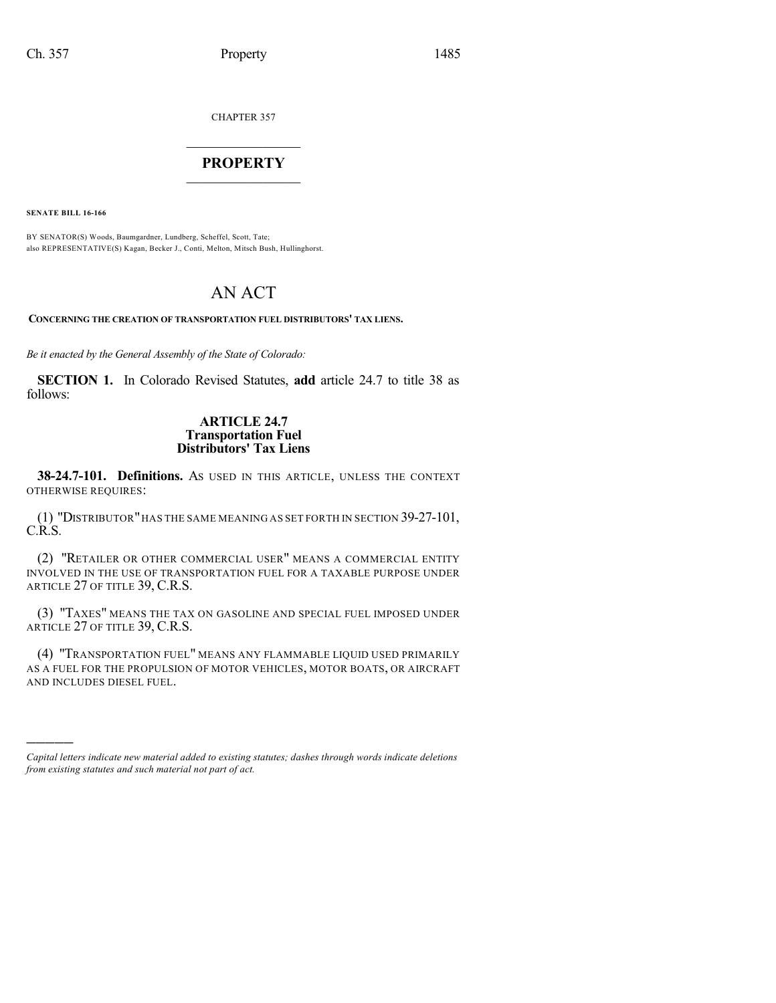CHAPTER 357

## $\overline{\phantom{a}}$  . The set of the set of the set of the set of the set of the set of the set of the set of the set of the set of the set of the set of the set of the set of the set of the set of the set of the set of the set o **PROPERTY**  $\_$   $\_$   $\_$   $\_$   $\_$   $\_$   $\_$   $\_$   $\_$

**SENATE BILL 16-166**

)))))

BY SENATOR(S) Woods, Baumgardner, Lundberg, Scheffel, Scott, Tate; also REPRESENTATIVE(S) Kagan, Becker J., Conti, Melton, Mitsch Bush, Hullinghorst.

# AN ACT

**CONCERNING THE CREATION OF TRANSPORTATION FUEL DISTRIBUTORS' TAX LIENS.**

*Be it enacted by the General Assembly of the State of Colorado:*

**SECTION 1.** In Colorado Revised Statutes, **add** article 24.7 to title 38 as follows:

## **ARTICLE 24.7 Transportation Fuel Distributors' Tax Liens**

**38-24.7-101. Definitions.** AS USED IN THIS ARTICLE, UNLESS THE CONTEXT OTHERWISE REQUIRES:

(1) "DISTRIBUTOR"HAS THE SAME MEANING AS SET FORTH IN SECTION 39-27-101, C.R.S.

(2) "RETAILER OR OTHER COMMERCIAL USER" MEANS A COMMERCIAL ENTITY INVOLVED IN THE USE OF TRANSPORTATION FUEL FOR A TAXABLE PURPOSE UNDER ARTICLE 27 OF TITLE 39, C.R.S.

(3) "TAXES" MEANS THE TAX ON GASOLINE AND SPECIAL FUEL IMPOSED UNDER ARTICLE 27 OF TITLE 39, C.R.S.

(4) "TRANSPORTATION FUEL" MEANS ANY FLAMMABLE LIQUID USED PRIMARILY AS A FUEL FOR THE PROPULSION OF MOTOR VEHICLES, MOTOR BOATS, OR AIRCRAFT AND INCLUDES DIESEL FUEL.

*Capital letters indicate new material added to existing statutes; dashes through words indicate deletions from existing statutes and such material not part of act.*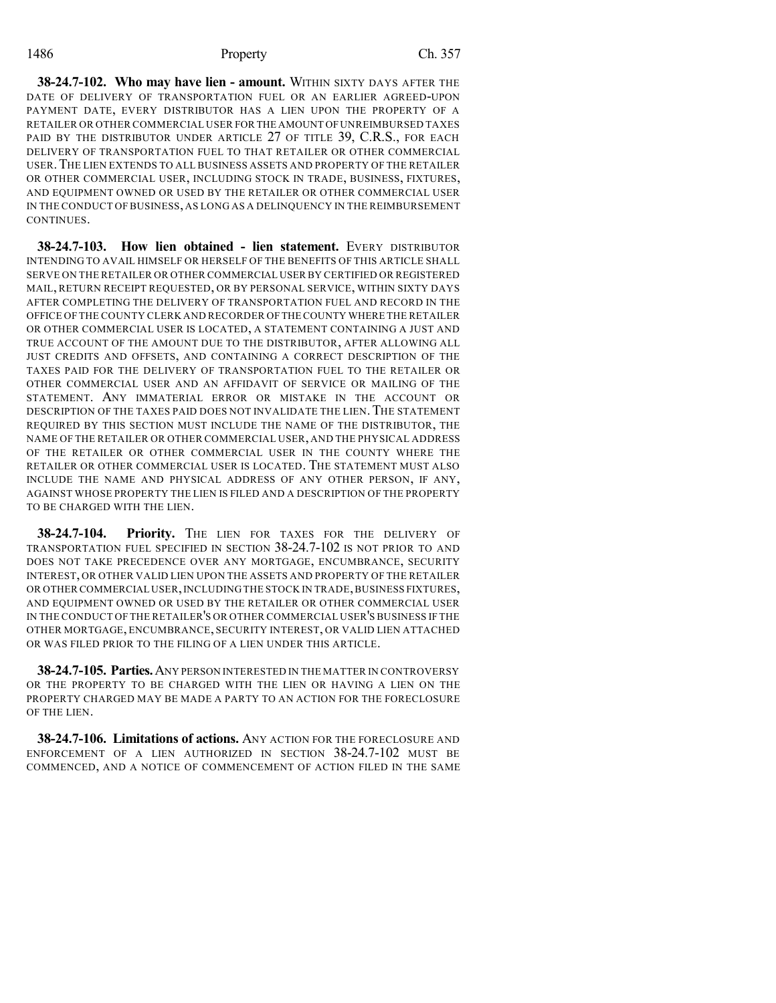### 1486 Property Ch. 357

**38-24.7-102. Who may have lien - amount.** WITHIN SIXTY DAYS AFTER THE DATE OF DELIVERY OF TRANSPORTATION FUEL OR AN EARLIER AGREED-UPON PAYMENT DATE, EVERY DISTRIBUTOR HAS A LIEN UPON THE PROPERTY OF A RETAILER OR OTHER COMMERCIAL USER FOR THE AMOUNT OFUNREIMBURSED TAXES PAID BY THE DISTRIBUTOR UNDER ARTICLE 27 OF TITLE 39, C.R.S., FOR EACH DELIVERY OF TRANSPORTATION FUEL TO THAT RETAILER OR OTHER COMMERCIAL USER.THE LIEN EXTENDS TO ALL BUSINESS ASSETS AND PROPERTY OF THE RETAILER OR OTHER COMMERCIAL USER, INCLUDING STOCK IN TRADE, BUSINESS, FIXTURES, AND EQUIPMENT OWNED OR USED BY THE RETAILER OR OTHER COMMERCIAL USER IN THE CONDUCT OF BUSINESS, AS LONG AS A DELINQUENCY IN THE REIMBURSEMENT **CONTINUES** 

**38-24.7-103. How lien obtained - lien statement.** EVERY DISTRIBUTOR INTENDING TO AVAIL HIMSELF OR HERSELF OF THE BENEFITS OF THIS ARTICLE SHALL SERVE ON THE RETAILER OR OTHER COMMERCIAL USER BY CERTIFIED OR REGISTERED MAIL, RETURN RECEIPT REQUESTED, OR BY PERSONAL SERVICE, WITHIN SIXTY DAYS AFTER COMPLETING THE DELIVERY OF TRANSPORTATION FUEL AND RECORD IN THE OFFICE OF THE COUNTY CLERK AND RECORDER OF THECOUNTY WHERE THE RETAILER OR OTHER COMMERCIAL USER IS LOCATED, A STATEMENT CONTAINING A JUST AND TRUE ACCOUNT OF THE AMOUNT DUE TO THE DISTRIBUTOR, AFTER ALLOWING ALL JUST CREDITS AND OFFSETS, AND CONTAINING A CORRECT DESCRIPTION OF THE TAXES PAID FOR THE DELIVERY OF TRANSPORTATION FUEL TO THE RETAILER OR OTHER COMMERCIAL USER AND AN AFFIDAVIT OF SERVICE OR MAILING OF THE STATEMENT. ANY IMMATERIAL ERROR OR MISTAKE IN THE ACCOUNT OR DESCRIPTION OF THE TAXES PAID DOES NOT INVALIDATE THE LIEN. THE STATEMENT REQUIRED BY THIS SECTION MUST INCLUDE THE NAME OF THE DISTRIBUTOR, THE NAME OF THE RETAILER OR OTHER COMMERCIAL USER, AND THE PHYSICAL ADDRESS OF THE RETAILER OR OTHER COMMERCIAL USER IN THE COUNTY WHERE THE RETAILER OR OTHER COMMERCIAL USER IS LOCATED. THE STATEMENT MUST ALSO INCLUDE THE NAME AND PHYSICAL ADDRESS OF ANY OTHER PERSON, IF ANY, AGAINST WHOSE PROPERTY THE LIEN IS FILED AND A DESCRIPTION OF THE PROPERTY TO BE CHARGED WITH THE LIEN.

**38-24.7-104. Priority.** THE LIEN FOR TAXES FOR THE DELIVERY OF TRANSPORTATION FUEL SPECIFIED IN SECTION 38-24.7-102 IS NOT PRIOR TO AND DOES NOT TAKE PRECEDENCE OVER ANY MORTGAGE, ENCUMBRANCE, SECURITY INTEREST, OR OTHER VALID LIEN UPON THE ASSETS AND PROPERTY OF THE RETAILER OR OTHER COMMERCIAL USER, INCLUDING THE STOCK IN TRADE, BUSINESS FIXTURES, AND EQUIPMENT OWNED OR USED BY THE RETAILER OR OTHER COMMERCIAL USER IN THE CONDUCT OF THE RETAILER'S OR OTHER COMMERCIAL USER'S BUSINESS IF THE OTHER MORTGAGE, ENCUMBRANCE, SECURITY INTEREST, OR VALID LIEN ATTACHED OR WAS FILED PRIOR TO THE FILING OF A LIEN UNDER THIS ARTICLE.

**38-24.7-105. Parties.**ANY PERSON INTERESTED IN THE MATTER IN CONTROVERSY OR THE PROPERTY TO BE CHARGED WITH THE LIEN OR HAVING A LIEN ON THE PROPERTY CHARGED MAY BE MADE A PARTY TO AN ACTION FOR THE FORECLOSURE OF THE LIEN.

**38-24.7-106. Limitations of actions.** ANY ACTION FOR THE FORECLOSURE AND ENFORCEMENT OF A LIEN AUTHORIZED IN SECTION 38-24.7-102 MUST BE COMMENCED, AND A NOTICE OF COMMENCEMENT OF ACTION FILED IN THE SAME